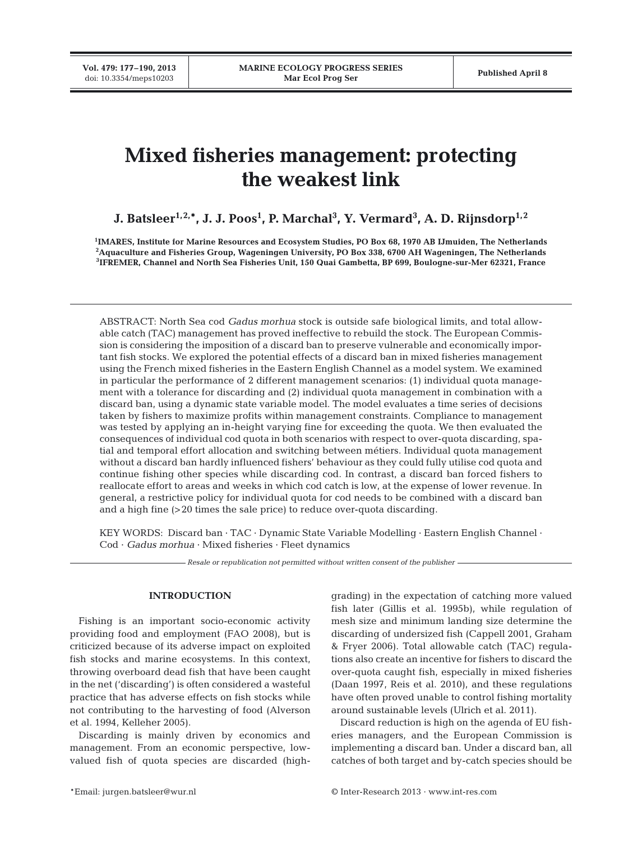**Vol. 479: 177–190, 2013**

# **Mixed fisheries management: protecting the weakest link**

# **J. Batsleer1,2,\*, J. J. Poos1 , P. Marchal3 , Y. Vermard3 , A. D. Rijnsdorp1,2**

**1 IMARES, Institute for Marine Resources and Ecosystem Studies, PO Box 68, 1970 AB IJmuiden, The Netherlands 2 Aquaculture and Fisheries Group, Wageningen University, PO Box 338, 6700 AH Wageningen, The Netherlands 3 IFREMER, Channel and North Sea Fisheries Unit, 150 Quai Gambetta, BP 699, Boulogne-sur-Mer 62321, France**

ABSTRACT: North Sea cod *Gadus morhua* stock is outside safe biological limits, and total allowable catch (TAC) management has proved ineffective to rebuild the stock. The European Commission is considering the imposition of a discard ban to preserve vulnerable and economically important fish stocks. We explored the potential effects of a discard ban in mixed fisheries management using the French mixed fisheries in the Eastern English Channel as a model system. We examined in particular the performance of 2 different management scenarios: (1) individual quota management with a tolerance for discarding and (2) individual quota management in combination with a discard ban, using a dynamic state variable model. The model evaluates a time series of decisions taken by fishers to maximize profits within management constraints. Compliance to management was tested by applying an in-height varying fine for exceeding the quota. We then evaluated the consequences of individual cod quota in both scenarios with respect to over-quota discarding, spatial and temporal effort allocation and switching between métiers. Individual quota management without a discard ban hardly influenced fishers' behaviour as they could fully utilise cod quota and continue fishing other species while discarding cod. In contrast, a discard ban forced fishers to reallocate effort to areas and weeks in which cod catch is low, at the expense of lower revenue. In general, a restrictive policy for individual quota for cod needs to be combined with a discard ban and a high fine (>20 times the sale price) to reduce over-quota discarding.

KEY WORDS: Discard ban · TAC · Dynamic State Variable Modelling · Eastern English Channel · Cod · *Gadus morhua* · Mixed fisheries · Fleet dynamics

*Resale or republication not permitted without written consent of the publisher*

# **INTRODUCTION**

Fishing is an important socio-economic activity providing food and employment (FAO 2008), but is criticized because of its adverse impact on exploited fish stocks and marine ecosystems. In this context, throwing overboard dead fish that have been caught in the net ('discarding') is often considered a wasteful practice that has adverse effects on fish stocks while not contributing to the harvesting of food (Alverson et al. 1994, Kelleher 2005).

Discarding is mainly driven by economics and management. From an economic perspective, lowvalued fish of quota species are discarded (highgrading) in the expectation of catching more valued fish later (Gillis et al. 1995b), while regulation of mesh size and minimum landing size determine the discarding of undersized fish (Cappell 2001, Graham & Fryer 2006). Total allowable catch (TAC) regulations also create an incentive for fishers to discard the over-quota caught fish, especially in mixed fisheries (Daan 1997, Reis et al. 2010), and these regulations have often proved unable to control fishing mortality around sustainable levels (Ulrich et al. 2011).

Discard reduction is high on the agenda of EU fisheries managers, and the European Commission is implementing a discard ban. Under a discard ban, all catches of both target and by-catch species should be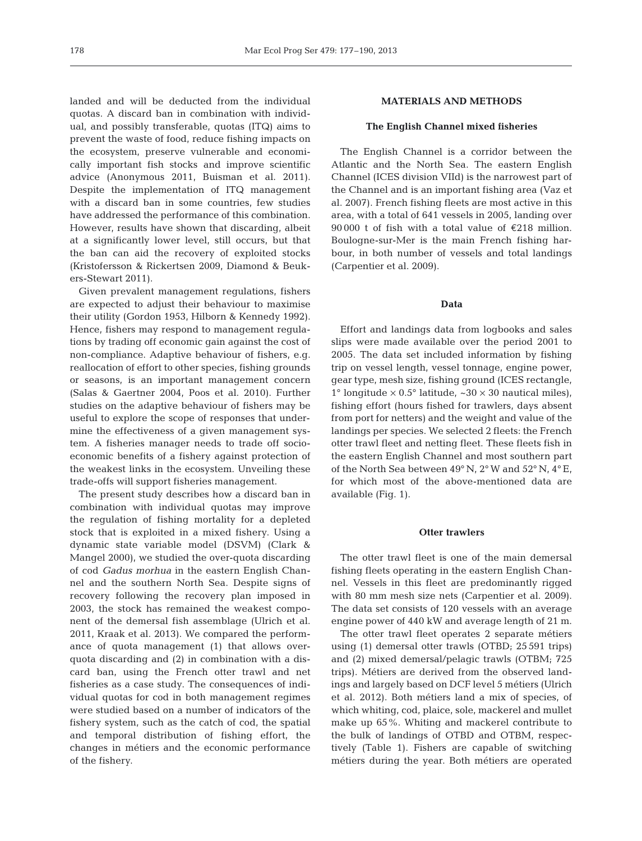landed and will be deducted from the individual quotas. A discard ban in combination with individual, and possibly transferable, quotas (ITQ) aims to prevent the waste of food, reduce fishing impacts on the ecosystem, preserve vulnerable and economically important fish stocks and improve scientific advice (Anonymous 2011, Buisman et al. 2011). Despite the implementation of ITQ management with a discard ban in some countries, few studies have addressed the performance of this combination. However, results have shown that discarding, albeit at a significantly lower level, still occurs, but that the ban can aid the recovery of exploited stocks (Kristofersson & Rickertsen 2009, Diamond & Beukers-Stewart 2011).

Given prevalent management regulations, fishers are expected to adjust their behaviour to maximise their utility (Gordon 1953, Hilborn & Kennedy 1992). Hence, fishers may respond to management regulations by trading off economic gain against the cost of non-compliance. Adaptive behaviour of fishers, e.g. reallocation of effort to other species, fishing grounds or seasons, is an important management concern (Salas & Gaertner 2004, Poos et al. 2010). Further studies on the adaptive behaviour of fishers may be useful to explore the scope of responses that undermine the effectiveness of a given management system. A fisheries manager needs to trade off socioeconomic benefits of a fishery against protection of the weakest links in the ecosystem. Unveiling these trade-offs will support fisheries management.

The present study describes how a discard ban in combination with individual quotas may improve the regulation of fishing mortality for a depleted stock that is exploited in a mixed fishery. Using a dynamic state variable model (DSVM) (Clark & Mangel 2000), we studied the over-quota discarding of cod *Gadus morhua* in the eastern English Channel and the southern North Sea. Despite signs of recovery following the recovery plan imposed in 2003, the stock has remained the weakest component of the demersal fish assemblage (Ulrich et al. 2011, Kraak et al. 2013). We compared the performance of quota management (1) that allows overquota discarding and (2) in combination with a discard ban, using the French otter trawl and net fisheries as a case study. The consequences of individual quotas for cod in both management regimes were studied based on a number of indicators of the fishery system, such as the catch of cod, the spatial and temporal distribution of fishing effort, the changes in métiers and the economic performance of the fishery.

# **MATERIALS AND METHODS**

# **The English Channel mixed fisheries**

The English Channel is a corridor between the Atlantic and the North Sea. The eastern English Channel (ICES division VIId) is the narrowest part of the Channel and is an important fishing area (Vaz et al. 2007). French fishing fleets are most active in this area, with a total of 641 vessels in 2005, landing over 90 000 t of fish with a total value of €218 million. Boulogne-sur-Mer is the main French fishing harbour, in both number of vessels and total landings (Carpentier et al. 2009).

# **Data**

Effort and landings data from logbooks and sales slips were made available over the period 2001 to 2005. The data set included information by fishing trip on vessel length, vessel tonnage, engine power, gear type, mesh size, fishing ground (ICES rectangle, 1° longitude  $\times$  0.5° latitude,  $\sim$ 30  $\times$  30 nautical miles), fishing effort (hours fished for trawlers, days absent from port for netters) and the weight and value of the landings per species. We selected 2 fleets: the French otter trawl fleet and netting fleet. These fleets fish in the eastern English Channel and most southern part of the North Sea between 49° N, 2° W and 52° N, 4° E, for which most of the above-mentioned data are available (Fig. 1).

#### **Otter trawlers**

The otter trawl fleet is one of the main demersal fishing fleets operating in the eastern English Channel. Vessels in this fleet are predominantly rigged with 80 mm mesh size nets (Carpentier et al. 2009). The data set consists of 120 vessels with an average engine power of 440 kW and average length of 21 m.

The otter trawl fleet operates 2 separate métiers using (1) demersal otter trawls (OTBD; 25 591 trips) and (2) mixed demersal/pelagic trawls (OTBM; 725 trips). Métiers are derived from the observed landings and largely based on DCF level 5 métiers (Ulrich et al. 2012). Both métiers land a mix of species, of which whiting, cod, plaice, sole, mackerel and mullet make up 65%. Whiting and mackerel contribute to the bulk of landings of OTBD and OTBM, respectively (Table 1). Fishers are capable of switching métiers during the year. Both métiers are operated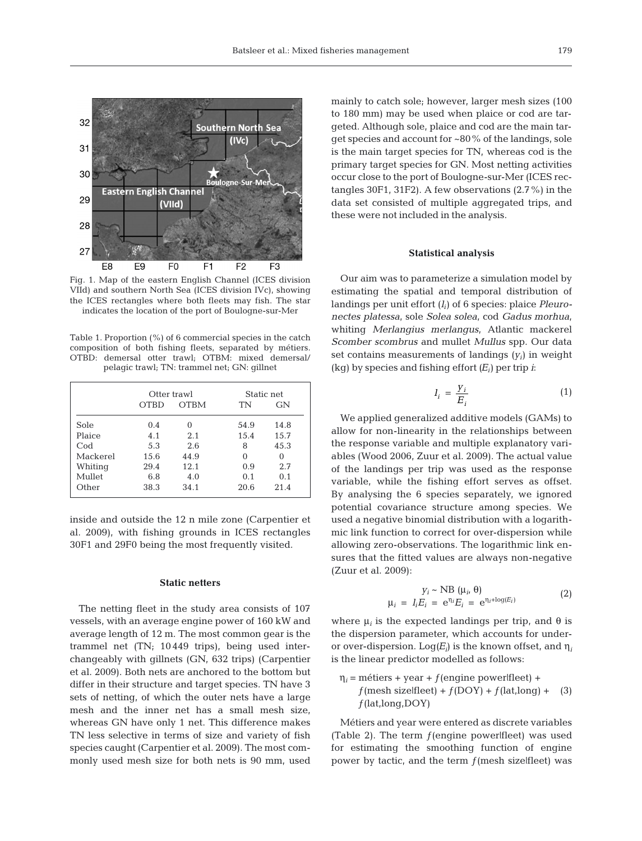

Fig. 1. Map of the eastern English Channel (ICES division VIId) and southern North Sea (ICES division IVc), showing the ICES rectangles where both fleets may fish. The star indicates the location of the port of Boulogne-sur-Mer

Table 1. Proportion (%) of 6 commercial species in the catch composition of both fishing fleets, separated by métiers. OTBD: demersal otter trawl; OTBM: mixed demersal/ pelagic trawl; TN: trammel net; GN: gillnet

|          | Otter trawl |             | Static net |      |  |
|----------|-------------|-------------|------------|------|--|
|          | OTBD        | <b>OTBM</b> | TN         | GN   |  |
| Sole     | 0.4         | $\Omega$    | 54.9       | 14.8 |  |
| Plaice   | 4.1         | 2.1         | 15.4       | 15.7 |  |
| Cod      | 5.3         | 2.6         | 8          | 45.3 |  |
| Mackerel | 15.6        | 44.9        | 0          | 0    |  |
| Whiting  | 29.4        | 12.1        | 0.9        | 2.7  |  |
| Mullet   | 6.8         | 4.0         | 0.1        | 0.1  |  |
| Other    | 38.3        | 34.1        | 20.6       | 21.4 |  |

inside and outside the 12 n mile zone (Carpentier et al. 2009), with fishing grounds in ICES rectangles 30F1 and 29F0 being the most frequently visited.

# **Static netters**

The netting fleet in the study area consists of 107 vessels, with an average engine power of 160 kW and average length of 12 m. The most common gear is the trammel net (TN; 10 449 trips), being used interchangeably with gillnets (GN, 632 trips) (Carpentier et al. 2009). Both nets are anchored to the bottom but differ in their structure and target species. TN have 3 sets of netting, of which the outer nets have a large mesh and the inner net has a small mesh size, whereas GN have only 1 net. This difference makes TN less selective in terms of size and variety of fish species caught (Carpentier et al. 2009). The most commonly used mesh size for both nets is 90 mm, used mainly to catch sole; however, larger mesh sizes (100 to 180 mm) may be used when plaice or cod are targeted. Although sole, plaice and cod are the main target species and account for ~80% of the landings, sole is the main target species for TN, whereas cod is the primary target species for GN. Most netting activities occur close to the port of Boulogne-sur-Mer (ICES rectangles 30F1, 31F2). A few observations (2.7%) in the data set consisted of multiple aggregated trips, and these were not included in the analysis.

# **Statistical analysis**

Our aim was to parameterize a simulation model by estimating the spatial and temporal distribution of landings per unit effort (*li*) of 6 species: plaice *Pleuro nectes platessa*, sole *Solea solea*, cod *Gadus morhua*, whiting *Merlangius merlangus*, Atlantic mackerel *Scomber scombrus* and mullet *Mullus* spp. Our data set contains measurements of landings  $(y_i)$  in weight (kg) by species and fishing effort  $(E_i)$  per trip *i*:

$$
I_i = \frac{Y_i}{E_i} \tag{1}
$$

We applied generalized additive models (GAMs) to allow for non-linearity in the relationships between the response variable and multiple explanatory variables (Wood 2006, Zuur et al. 2009). The actual value of the landings per trip was used as the response variable, while the fishing effort serves as offset. By analysing the 6 species separately, we ignored potential covariance structure among species. We used a negative binomial distribution with a logarithmic link function to correct for over-dispersion while allowing zero-observations. The logarithmic link ensures that the fitted values are always non-negative (Zuur et al. 2009):

$$
y_i \sim \text{NB } (\mu_i, \theta)
$$
  

$$
\mu_i = I_i E_i = e^{\eta_i} E_i = e^{\eta_i + \log(E_i)}
$$
 (2)

where  $\mu_i$  is the expected landings per trip, and  $\theta$  is the dispersion parameter, which accounts for underor over-dispersion.  $Log(E_i)$  is the known offset, and  $\eta_i$ is the linear predictor modelled as follows:

 $\eta_i$  = métiers + year +  $f$ (engine power|fleet) +  $f$ (mesh sizelfleet) +  $f$ (DOY) +  $f$ (lat,long) + (3)  $f$ (lat,long,DOY)

Métiers and year were entered as discrete variables (Table 2). The term  $f$ (engine power|fleet) was used for estimating the smoothing function of engine power by tactic, and the term  $f$ (mesh size|fleet) was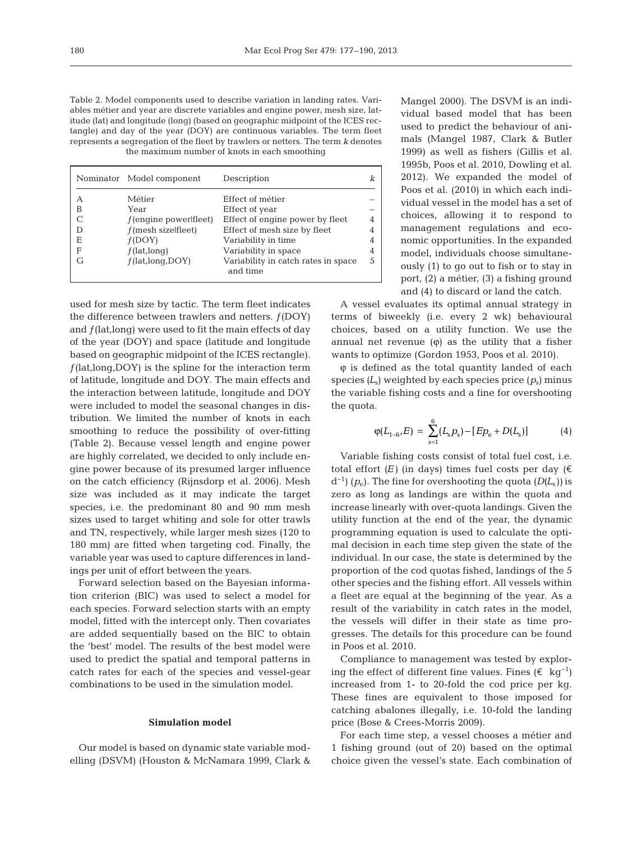Table 2. Model components used to describe variation in landing rates. Variables métier and year are discrete variables and engine power, mesh size, latitude (lat) and longitude (long) (based on geographic midpoint of the ICES rectangle) and day of the year (DOY) are continuous variables. The term fleet represents a segregation of the fleet by trawlers or netters. The term *k* denotes the maximum number of knots in each smoothing

|   | Nominator Model component | Description                                     |    |  |
|---|---------------------------|-------------------------------------------------|----|--|
| А | Métier                    | Effect of métier                                |    |  |
| В | Year                      | Effect of year                                  |    |  |
|   | $f$ (engine powerlifleet) | Effect of engine power by fleet                 | 4  |  |
| D | $f$ (mesh sizelfleet)     | Effect of mesh size by fleet                    |    |  |
| Ε | f(DOY)                    | Variability in time                             | 4  |  |
| F | $f$ (lat, long)           | Variability in space                            | 4  |  |
| G | f(lat, long, DOY)         | Variability in catch rates in space<br>and time | .5 |  |

used for mesh size by tactic. The term fleet indicates the difference between trawlers and netters.  $f(DOY)$ and  $f$ (lat,long) were used to fit the main effects of day of the year (DOY) and space (latitude and longitude based on geographic midpoint of the ICES rectangle).  $f$ (lat,long,DOY) is the spline for the interaction term of latitude, longitude and DOY. The main effects and the interaction between latitude, longitude and DOY were included to model the seasonal changes in distribution. We limited the number of knots in each smoothing to reduce the possibility of over-fitting (Table 2). Because vessel length and engine power are highly correlated, we decided to only include engine power because of its presumed larger influence on the catch efficiency (Rijnsdorp et al. 2006). Mesh size was included as it may indicate the target species, i.e. the predominant 80 and 90 mm mesh sizes used to target whiting and sole for otter trawls and TN, respectively, while larger mesh sizes (120 to 180 mm) are fitted when targeting cod. Finally, the variable year was used to capture differences in landings per unit of effort between the years.

Forward selection based on the Bayesian information criterion (BIC) was used to select a model for each species. Forward selection starts with an empty model, fitted with the intercept only. Then covariates are added sequentially based on the BIC to obtain the 'best' model. The results of the best model were used to predict the spatial and temporal patterns in catch rates for each of the species and vessel-gear combinations to be used in the simulation model.

# **Simulation model**

Our model is based on dynamic state variable modelling (DSVM) (Houston & McNamara 1999, Clark & Mangel 2000). The DSVM is an individual based model that has been used to predict the behaviour of animals (Mangel 1987, Clark & Butler 1999) as well as fishers (Gillis et al. 1995b, Poos et al. 2010, Dowling et al. 2012). We expanded the model of Poos et al. (2010) in which each individual vessel in the model has a set of choices, allowing it to respond to management regulations and economic opportunities. In the expanded model, individuals choose simultaneously (1) to go out to fish or to stay in port, (2) a métier, (3) a fishing ground and (4) to discard or land the catch.

A vessel evaluates its optimal annual strategy in terms of biweekly (i.e. every 2 wk) behavioural choices, based on a utility function. We use the annual net revenue  $(\varphi)$  as the utility that a fisher wants to optimize (Gordon 1953, Poos et al. 2010).

ϕ is defined as the total quantity landed of each species *(L*s) weighted by each species price *(p*s) minus the variable fishing costs and a fine for overshooting the quota.

$$
\varphi(L_{1-6}, E) = \sum_{s=1}^{6} (L_s p_s) - [Ep_e + D(L_s)] \tag{4}
$$

Variable fishing costs consist of total fuel cost, i.e. total effort  $(E)$  (in days) times fuel costs per day  $(\epsilon)$ d−1) *(p*e). The fine for overshooting the quota *(D(L*s*))* is zero as long as landings are within the quota and increase linearly with over-quota landings. Given the utility function at the end of the year, the dynamic programming equation is used to calculate the optimal decision in each time step given the state of the individual. In our case, the state is determined by the proportion of the cod quotas fished, landings of the 5 other species and the fishing effort. All vessels within a fleet are equal at the beginning of the year. As a result of the variability in catch rates in the model, the vessels will differ in their state as time progresses. The details for this procedure can be found in Poos et al. 2010.

Compliance to management was tested by exploring the effect of different fine values. Fines (€ kg<sup>-1</sup>) increased from 1- to 20-fold the cod price per kg. These fines are equivalent to those imposed for catching abalones illegally, i.e. 10-fold the landing price (Bose & Crees-Morris 2009).

For each time step, a vessel chooses a métier and 1 fishing ground (out of 20) based on the optimal choice given the vessel's state. Each combination of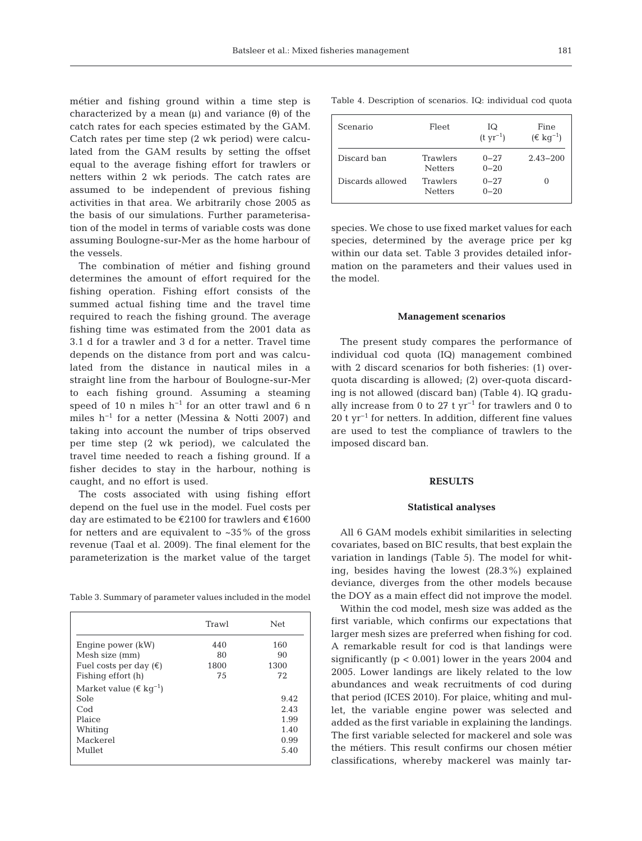métier and fishing ground within a time step is characterized by a mean (μ) and variance (θ) of the catch rates for each species estimated by the GAM. Catch rates per time step (2 wk period) were calculated from the GAM results by setting the offset equal to the average fishing effort for trawlers or netters within 2 wk periods. The catch rates are assumed to be independent of previous fishing activities in that area. We arbitrarily chose 2005 as the basis of our simulations. Further parameterisation of the model in terms of variable costs was done assuming Boulogne-sur-Mer as the home harbour of the vessels.

The combination of métier and fishing ground determines the amount of effort required for the fishing operation. Fishing effort consists of the summed actual fishing time and the travel time required to reach the fishing ground. The average fishing time was estimated from the 2001 data as 3.1 d for a trawler and 3 d for a netter. Travel time depends on the distance from port and was calculated from the distance in nautical miles in a straight line from the harbour of Boulogne-sur-Mer to each fishing ground. Assuming a steaming speed of 10 n miles h<sup>-1</sup> for an otter trawl and 6 n miles h−1 for a netter (Messina & Notti 2007) and taking into account the number of trips observed per time step (2 wk period), we calculated the travel time needed to reach a fishing ground. If a fisher decides to stay in the harbour, nothing is caught, and no effort is used.

The costs associated with using fishing effort depend on the fuel use in the model. Fuel costs per day are estimated to be €2100 for trawlers and €1600 for netters and are equivalent to  $\approx 35\%$  of the gross revenue (Taal et al. 2009). The final element for the parameterization is the market value of the target

Table 3. Summary of parameter values included in the model

|                                              | Trawl | <b>Net</b> |
|----------------------------------------------|-------|------------|
| Engine power (kW)                            | 440   | 160        |
| Mesh size (mm)                               | 80    | 90         |
| Fuel costs per day $(\epsilon)$              | 1800  | 1300       |
| Fishing effort (h)                           | 75    | 72         |
| Market value ( $\epsilon$ kg <sup>-1</sup> ) |       |            |
| Sole                                         |       | 9.42       |
| Cod                                          |       | 2.43       |
| Plaice                                       |       | 1.99       |
| Whiting                                      |       | 1.40       |
| Mackerel                                     |       | 0.99       |
| Mullet                                       |       | 5.40       |

Table 4. Description of scenarios. IQ: individual cod quota

| Scenario         | Fleet                      | IQ<br>$(t yr^{-1})$  | Fine<br>$(\epsilon \text{ kg}^{-1})$ |  |  |
|------------------|----------------------------|----------------------|--------------------------------------|--|--|
| Discard ban      | Trawlers<br><b>Netters</b> | $0 - 27$<br>$0 - 20$ | $2.43 - 200$                         |  |  |
| Discards allowed | Trawlers<br><b>Netters</b> | $0 - 27$<br>$0 - 20$ | $\Omega$                             |  |  |

species. We chose to use fixed market values for each species, determined by the average price per kg within our data set. Table 3 provides detailed information on the parameters and their values used in the model.

#### **Management scenarios**

The present study compares the performance of individual cod quota (IQ) management combined with 2 discard scenarios for both fisheries: (1) overquota discarding is allowed; (2) over-quota discarding is not allowed (discard ban) (Table 4). IQ gradually increase from 0 to 27 t  $\rm yr^{-1}$  for trawlers and 0 to 20 t yr<sup>-1</sup> for netters. In addition, different fine values are used to test the compliance of trawlers to the imposed discard ban.

# **RESULTS**

#### **Statistical analyses**

All 6 GAM models exhibit similarities in selecting covariates, based on BIC results, that best explain the variation in landings (Table 5). The model for whiting, besides having the lowest (28.3%) explained deviance, diverges from the other models because the DOY as a main effect did not improve the model.

Within the cod model, mesh size was added as the first variable, which confirms our expectations that larger mesh sizes are preferred when fishing for cod. A remarkable result for cod is that landings were significantly  $(p < 0.001)$  lower in the years 2004 and 2005. Lower landings are likely related to the low abundances and weak recruitments of cod during that period (ICES 2010). For plaice, whiting and mullet, the variable engine power was selected and added as the first variable in explaining the landings. The first variable selected for mackerel and sole was the métiers. This result confirms our chosen métier classifications, whereby mackerel was mainly tar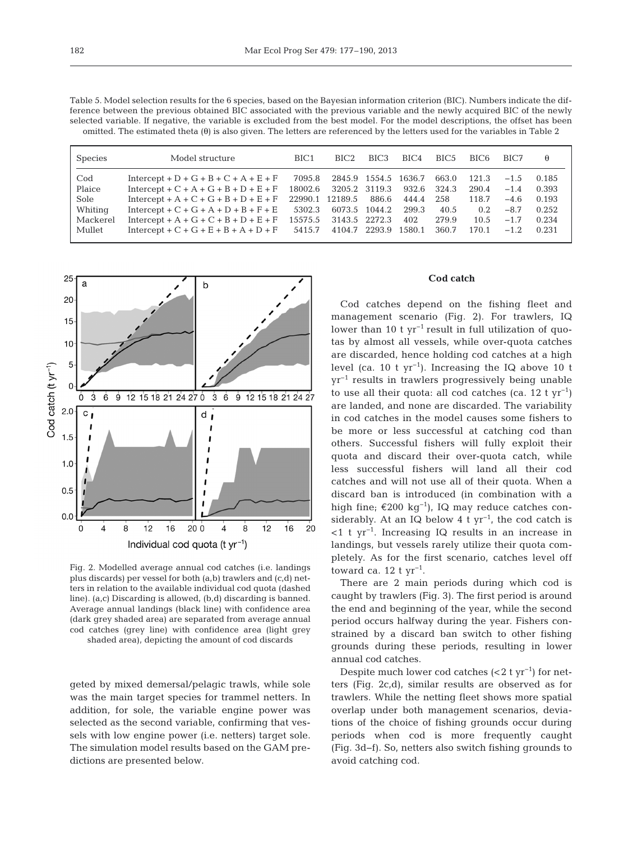Table 5. Model selection results for the 6 species, based on the Bayesian information criterion (BIC). Numbers indicate the difference between the previous obtained BIC associated with the previous variable and the newly acquired BIC of the newly selected variable. If negative, the variable is excluded from the best model. For the model descriptions, the offset has been omitted. The estimated theta (θ) is also given. The letters are referenced by the letters used for the variables in Table 2

| <b>Species</b> | Model structure                                     | BIC <sub>1</sub> | BIC <sub>2</sub> | BIC <sub>3</sub> | $\rm BIC4$ | BIC <sub>5</sub> | BIC <sub>6</sub> | BIC7   | θ     |
|----------------|-----------------------------------------------------|------------------|------------------|------------------|------------|------------------|------------------|--------|-------|
| Cod            | $Intercept + D + G + B + C + A + E + F$             | 7095.8           | 2845.9           | 1554.5           | 1636.7     | 663.0            | 121.3            | $-1.5$ | 0.185 |
| Plaice         | Intercept + $C$ + $A$ + $G$ + $B$ + $D$ + $E$ + $F$ | 18002.6          | 3205.2 3119.3    |                  | 932.6      | 324.3            | 290.4            | $-1.4$ | 0.393 |
| Sole           | Intercept + A + C + G + B + D + E + F               | 22990.1          | 12189.5          | 886.6            | 444.4      | 258              | 118.7            | $-4.6$ | 0.193 |
| Whiting        | $Intercept + C + G + A + D + B + F + E$             | 5302.3           |                  | 6073.5 1044.2    | 299.3      | 40.5             | $0.2^{\circ}$    | $-8.7$ | 0.252 |
| Mackerel       | Intercept + A + G + C + B + D + E + F               | 15575.5          | 3143.5 2272.3    |                  | 402        | 279.9            | 10.5             | $-1.7$ | 0.234 |
| Mullet         | Intercept + $C$ + $G$ + $E$ + $B$ + $A$ + $D$ + $F$ | 5415.7           |                  | 4104.7 2293.9    | 1580.1     | 360.7            | 170.1            | $-1.2$ | 0.231 |



Fig. 2. Modelled average annual cod catches (i.e. landings plus discards) per vessel for both (a,b) trawlers and (c,d) netters in relation to the available individual cod quota (dashed line). (a,c) Discarding is allowed, (b,d) discarding is banned. Average annual landings (black line) with confidence area (dark grey shaded area) are separated from average annual cod catches (grey line) with confidence area (light grey shaded area), depicting the amount of cod discards

geted by mixed demersal/pelagic trawls, while sole was the main target species for trammel netters. In addition, for sole, the variable engine power was selected as the second variable, confirming that vessels with low engine power (i.e. netters) target sole. The simulation model results based on the GAM predictions are presented below.

# **Cod catch**

Cod catches depend on the fishing fleet and management scenario (Fig. 2). For trawlers, IQ lower than 10 t  $yr^{-1}$  result in full utilization of quotas by almost all vessels, while over-quota catches are discarded, hence holding cod catches at a high level (ca. 10 t yr<sup>-1</sup>). Increasing the IQ above 10 t yr−1 results in trawlers progressively being unable to use all their quota: all cod catches (ca. 12 t  $yr^{-1}$ ) are landed, and none are discarded. The variability in cod catches in the model causes some fishers to be more or less successful at catching cod than others. Successful fishers will fully exploit their quota and discard their over-quota catch, while less successful fishers will land all their cod catches and will not use all of their quota. When a discard ban is introduced (in combination with a high fine; €200 kg−1), IQ may reduce catches considerably. At an IQ below 4 t  $yr^{-1}$ , the cod catch is <1 t yr−1. Increasing IQ results in an increase in landings, but vessels rarely utilize their quota completely. As for the first scenario, catches level off toward ca. 12 t  $yr^{-1}$ .

There are 2 main periods during which cod is caught by trawlers (Fig. 3). The first period is around the end and beginning of the year, while the second period occurs halfway during the year. Fishers constrained by a discard ban switch to other fishing grounds during these periods, resulting in lower annual cod catches.

Despite much lower cod catches  $(< 2$  t yr<sup>-1</sup>) for netters (Fig. 2c,d), similar results are observed as for trawlers. While the netting fleet shows more spatial overlap under both management scenarios, deviations of the choice of fishing grounds occur during periods when cod is more frequently caught (Fig. 3d−f). So, netters also switch fishing grounds to avoid catching cod.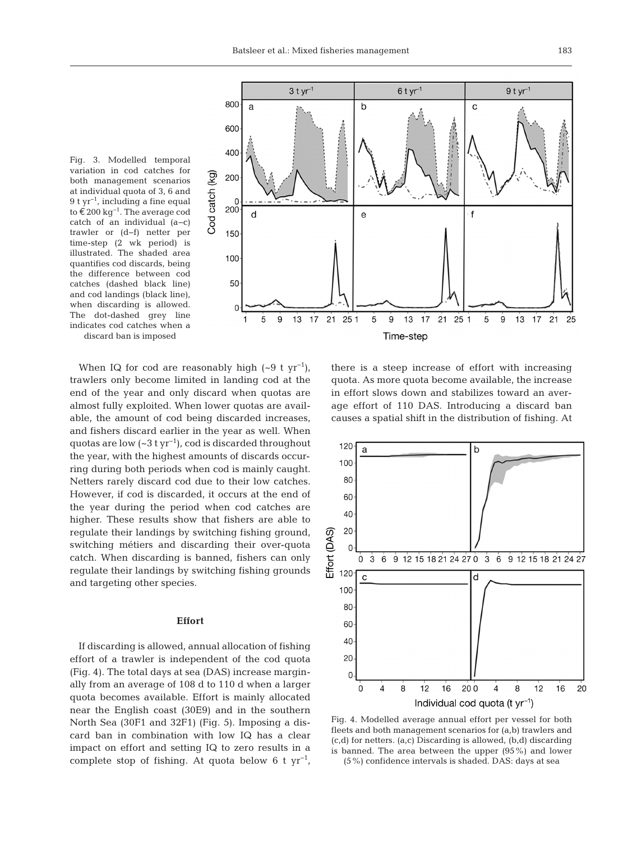



Time-step

When IQ for cod are reasonably high  $({\sim}9 \text{ t yr}^{-1})$ , trawlers only become limited in landing cod at the end of the year and only discard when quotas are almost fully exploited. When lower quotas are available, the amount of cod being discarded increases, and fishers discard earlier in the year as well. When quotas are low  $({\sim}3 \text{ t yr}^{-1})$ , cod is discarded throughout the year, with the highest amounts of discards occurring during both periods when cod is mainly caught. Netters rarely discard cod due to their low catches. However, if cod is discarded, it occurs at the end of the year during the period when cod catches are higher. These results show that fishers are able to regulate their landings by switching fishing ground, switching métiers and discarding their over-quota catch. When discarding is banned, fishers can only regulate their landings by switching fishing grounds and targeting other species.

# **Effort**

If discarding is allowed, annual allocation of fishing effort of a trawler is independent of the cod quota (Fig. 4). The total days at sea (DAS) increase marginally from an average of 108 d to 110 d when a larger quota becomes available. Effort is mainly allocated near the English coast (30E9) and in the southern North Sea (30F1 and 32F1) (Fig. 5). Imposing a discard ban in combination with low IQ has a clear impact on effort and setting IQ to zero results in a complete stop of fishing. At quota below 6 t  $yr^{-1}$ ,

there is a steep increase of effort with increasing quota. As more quota become available, the increase in effort slows down and stabilizes toward an average effort of 110 DAS. Introducing a discard ban causes a spatial shift in the distribution of fishing. At



Fig. 4. Modelled average annual effort per vessel for both fleets and both management scenarios for (a,b) trawlers and (c,d) for netters. (a,c) Discarding is allowed, (b,d) discarding is banned. The area between the upper (95%) and lower (5%) confidence intervals is shaded. DAS: days at sea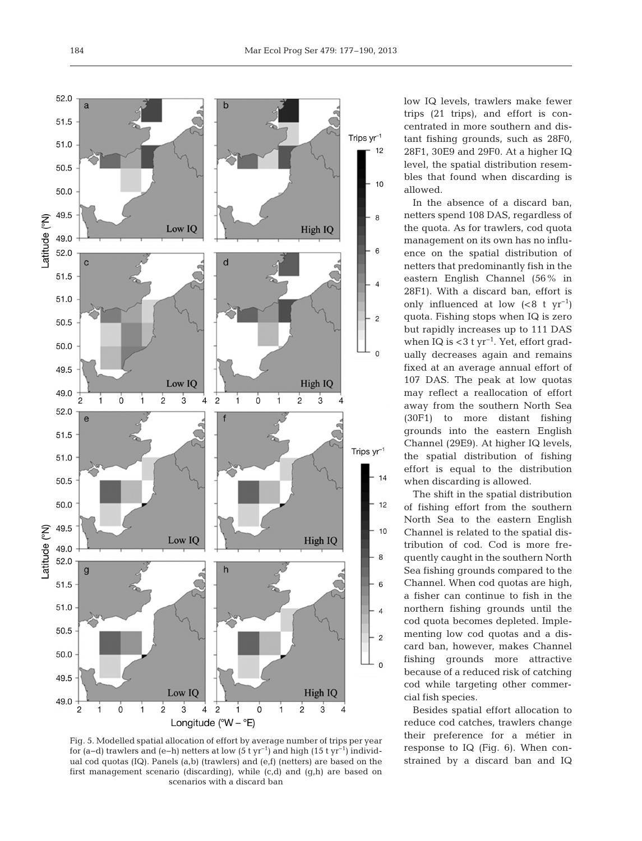

Fig. 5. Modelled spatial allocation of effort by average number of trips per year for (a−d) trawlers and (e−h) netters at low (5 t yr−1) and high (15 t yr−1) individual cod quotas (IQ). Panels (a,b) (trawlers) and (e,f) (netters) are based on the first management scenario (discarding), while (c,d) and (g,h) are based on scenarios with a discard ban

low IQ levels, trawlers make fewer trips  $(21 \text{ trips})$ , and effort is concentrated in more southern and distant fishing grounds, such as 28F0, 28F1, 30E9 and 29F0. At a higher IQ level, the spatial distribution resembles that found when discarding is allowed.

In the absence of a discard ban, netters spend 108 DAS, regardless of the quota. As for trawlers, cod quota management on its own has no influence on the spatial distribution of netters that predominantly fish in the eastern English Channel (56% in 28F1). With a discard ban, effort is only influenced at low  $( $8 \text{ t yr}^{-1}$ )$ quota. Fishing stops when IQ is zero but rapidly increases up to 111 DAS when IQ is <3 t  $yr^{-1}$ . Yet, effort gradually decreases again and remains fixed at an average annual effort of 107 DAS. The peak at low quotas may reflect a reallocation of effort away from the southern North Sea (30F1) to more distant fishing grounds into the eastern English Channel (29E9). At higher IQ levels, the spatial distribution of fishing effort is equal to the distribution when discarding is allowed.

The shift in the spatial distribution of fishing effort from the southern North Sea to the eastern English Channel is related to the spatial distribution of cod. Cod is more frequently caught in the southern North Sea fishing grounds compared to the Channel. When cod quotas are high, a fisher can continue to fish in the northern fishing grounds until the cod quota becomes depleted. Implementing low cod quotas and a discard ban, however, makes Channel fishing grounds more attractive because of a reduced risk of catching cod while targeting other commercial fish species.

Besides spatial effort allocation to reduce cod catches, trawlers change their preference for a métier in response to IQ (Fig. 6). When constrained by a discard ban and IQ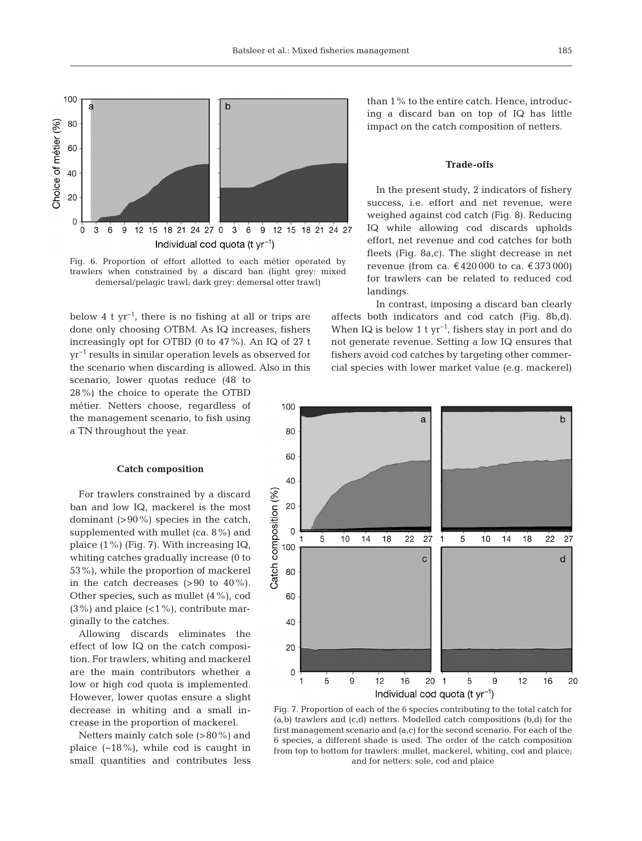

Fig. 6. Proportion of effort allotted to each métier operated by trawlers when constrained by a discard ban (light grey: mixed demersal/pelagic trawl; dark grey: demersal otter trawl)

below 4 t yr−1, there is no fishing at all or trips are done only choosing OTBM. As IQ increases, fishers increasingly opt for OTBD (0 to 47%). An IQ of 27 t yr−1 results in similar operation levels as observed for the scenario when discarding is allowed. Also in this scenario, lower quotas reduce (48 to

28%) the choice to operate the OTBD métier. Netters choose, regardless of the management scenario, to fish using a TN throughout the year.

#### **Catch composition**

For trawlers constrained by a discard ban and low IQ, mackerel is the most dominant  $(>90\%)$  species in the catch, supplemented with mullet (ca. 8%) and plaice (1%) (Fig. 7). With increasing IQ, whiting catches gradually increase (0 to 53%), while the proportion of mackerel in the catch decreases  $(>90$  to  $40\%$ ). Other species, such as mullet (4%), cod  $(3\%)$  and plaice  $(1\%)$ , contribute marginally to the catches.

Allowing discards eliminates the effect of low IQ on the catch composition. For trawlers, whiting and mackerel are the main contributors whether a low or high cod quota is implemented. However, lower quotas ensure a slight decrease in whiting and a small increase in the proportion of mackerel.

Netters mainly catch sole (>80%) and plaice  $(-18\%)$ , while cod is caught in small quantities and contributes less than 1% to the entire catch. Hence, introducing a discard ban on top of IQ has little impact on the catch composition of netters.

# **Trade-offs**

In the present study, 2 indicators of fishery success, i.e. effort and net revenue, were weighed against cod catch (Fig. 8). Reducing IQ while allowing cod discards upholds effort, net revenue and cod catches for both fleets (Fig. 8a,c). The slight decrease in net revenue (from ca. €420 000 to ca. €373 000) for trawlers can be related to reduced cod landings.

In contrast, imposing a discard ban clearly affects both indicators and cod catch (Fig. 8b,d). When IQ is below 1 t  $yr^{-1}$ , fishers stay in port and do not generate revenue. Setting a low IQ ensures that fishers avoid cod catches by targeting other commercial species with lower market value (e.g. mackerel)



Fig. 7. Proportion of each of the 6 species contributing to the total catch for (a,b) trawlers and (c,d) netters. Modelled catch compositions (b,d) for the first management scenario and (a,c) for the second scenario. For each of the 6 species, a different shade is used. The order of the catch composition from top to bottom for trawlers: mullet, mackerel, whiting, cod and plaice; and for netters: sole, cod and plaice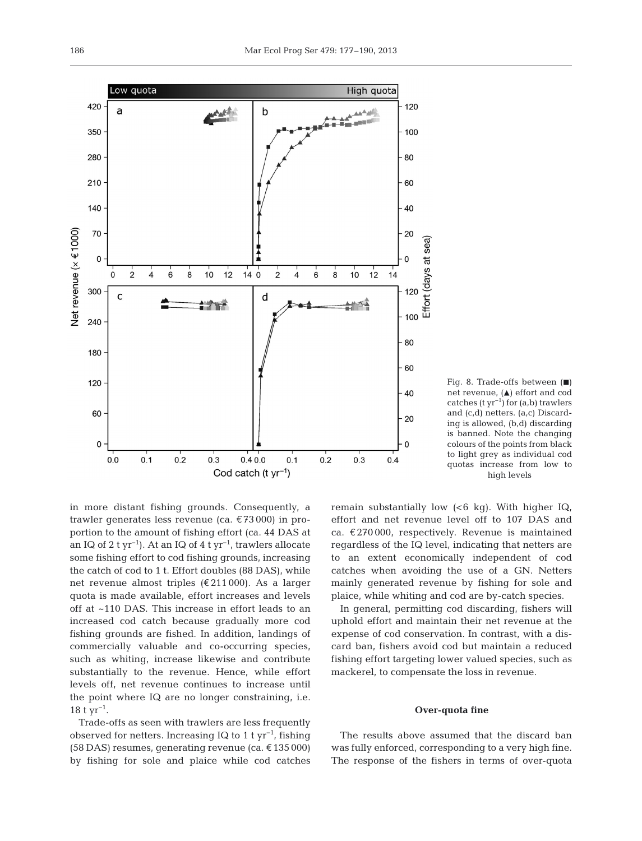in more distant fishing grounds. Consequently, a trawler generates less revenue (ca. €73 000) in proportion to the amount of fishing effort (ca. 44 DAS at an IQ of 2 t yr−1). At an IQ of 4 t yr−1, trawlers allocate some fishing effort to cod fishing grounds, increasing the catch of cod to 1 t. Effort doubles (88 DAS), while net revenue almost triples (€211 000). As a larger quota is made available, effort increases and levels off at ~110 DAS. This increase in effort leads to an increased cod catch because gradually more cod fishing grounds are fished. In addition, landings of commercially valuable and co-occurring species, such as whiting, increase likewise and contribute substantially to the revenue. Hence, while effort levels off, net revenue continues to increase until the point where IQ are no longer constraining, i.e.  $18 \text{ t yr}^{-1}$ .

Trade-offs as seen with trawlers are less frequently observed for netters. Increasing IQ to 1 t  $yr^{-1}$ , fishing (58 DAS) resumes, generating revenue (ca. €135 000) by fishing for sole and plaice while cod catches remain substantially low  $(6 \text{ kg})$ . With higher IQ, effort and net revenue level off to 107 DAS and ca.  $\epsilon$ 270 000, respectively. Revenue is maintained regardless of the IQ level, indicating that netters are to an extent economically independent of cod catches when avoiding the use of a GN. Netters mainly generated revenue by fishing for sole and plaice, while whiting and cod are by-catch species.

Fig. 8. Trade-offs between  $(\blacksquare)$ net revenue,  $(A)$  effort and cod catches  $(t yr^{-1})$  for  $(a,b)$  trawlers and (c,d) netters. (a,c) Discarding is allowed, (b,d) discarding is banned. Note the changing colours of the points from black to light grey as individual cod quotas increase from low to high levels

In general, permitting cod discarding, fishers will uphold effort and maintain their net revenue at the expense of cod conservation. In contrast, with a discard ban, fishers avoid cod but maintain a reduced fishing effort targeting lower valued species, such as mackerel, to compensate the loss in revenue.

#### **Over-quota fine**

The results above assumed that the discard ban was fully enforced, corresponding to a very high fine. The response of the fishers in terms of over-quota

Low quota High quota 420 120 a  $\mathbf b$ AAAAA 350 100 280 **80** 210 60 140  $40$ Net revenue (x €1000) 70 20 Effort (days at sea)  $\mathbf 0$  $\Omega$  $140$  $\overline{2}$  $12$  $\overline{c}$ 4 6 8  $10$ 12  $\overline{4}$ 6 8 10 14 300 120 d  $\mathsf{C}$  $\mathbf{r}$ 100 240 80 180 60 120 40 60 20  $\mathbf 0$  $\Omega$  $0.0$  $0.1$  $0.2$  $0.3$  $0.40.0$  $0.1$  $0.2$  $0.3$  $0.4$ Cod catch (t  $yr^{-1}$ )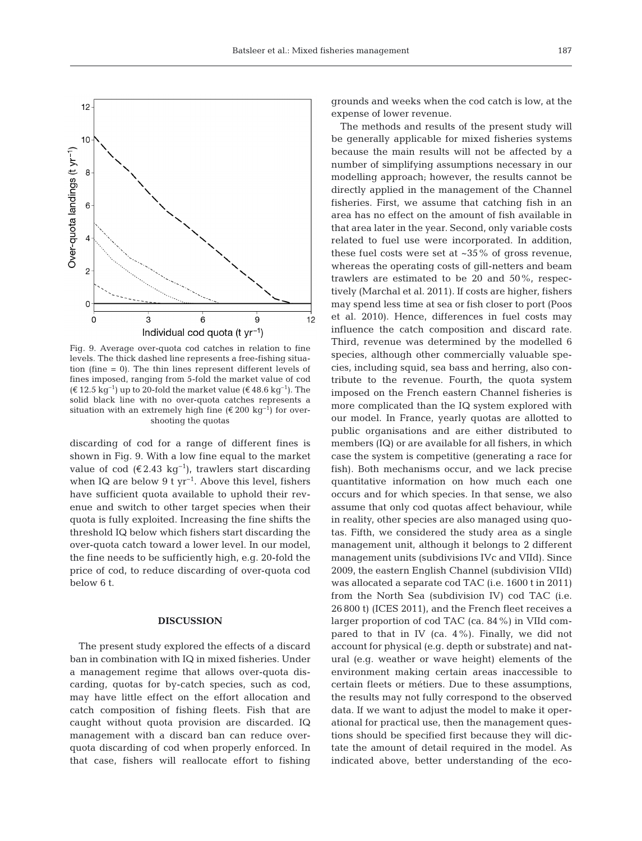

Fig. 9. Average over-quota cod catches in relation to fine levels. The thick dashed line represents a free-fishing situation (fine = 0). The thin lines represent different levels of fines imposed, ranging from 5-fold the market value of cod  $(\text{€ } 12.5 \text{ kg}^{-1})$  up to 20-fold the market value (€ 48.6 kg<sup>-1</sup>). The solid black line with no over-quota catches represents a situation with an extremely high fine (€ 200 kg<sup>-1</sup>) for overshooting the quotas

discarding of cod for a range of different fines is shown in Fig. 9. With a low fine equal to the market value of cod (€2.43 kg<sup>-1</sup>), trawlers start discarding when IQ are below 9 t yr<sup>-1</sup>. Above this level, fishers have sufficient quota available to uphold their revenue and switch to other target species when their quota is fully exploited. Increasing the fine shifts the threshold IQ below which fishers start discarding the over-quota catch toward a lower level. In our model, the fine needs to be sufficiently high, e.g. 20-fold the price of cod, to reduce discarding of over-quota cod below 6 t.

# **DISCUSSION**

The present study explored the effects of a discard ban in combination with IQ in mixed fisheries. Under a management regime that allows over-quota discarding, quotas for by-catch species, such as cod, may have little effect on the effort allocation and catch composition of fishing fleets. Fish that are caught without quota provision are discarded. IQ management with a discard ban can reduce overquota discarding of cod when properly enforced. In that case, fishers will reallocate effort to fishing

grounds and weeks when the cod catch is low, at the expense of lower revenue.

The methods and results of the present study will be generally applicable for mixed fisheries systems because the main results will not be affected by a number of simplifying assumptions necessary in our modelling approach; however, the results cannot be directly applied in the management of the Channel fisheries. First, we assume that catching fish in an area has no effect on the amount of fish available in that area later in the year. Second, only variable costs related to fuel use were incorporated. In addition, these fuel costs were set at  $\sim$ 35% of gross revenue, whereas the operating costs of gill-netters and beam trawlers are estimated to be 20 and 50%, respectively (Marchal et al. 2011). If costs are higher, fishers may spend less time at sea or fish closer to port (Poos et al. 2010). Hence, differences in fuel costs may influence the catch composition and discard rate. Third, revenue was determined by the modelled 6 species, although other commercially valuable species, including squid, sea bass and herring, also contribute to the revenue. Fourth, the quota system imposed on the French eastern Channel fisheries is more complicated than the IQ system explored with our model. In France, yearly quotas are allotted to public organisations and are either distributed to members (IQ) or are available for all fishers, in which case the system is competitive (generating a race for fish). Both mechanisms occur, and we lack precise quantitative information on how much each one occurs and for which species. In that sense, we also assume that only cod quotas affect behaviour, while in reality, other species are also managed using quotas. Fifth, we considered the study area as a single management unit, although it belongs to 2 different management units (subdivisions IVc and VIId). Since 2009, the eastern English Channel (subdivision VIId) was allocated a separate cod TAC (i.e. 1600 t in 2011) from the North Sea (subdivision IV) cod TAC (i.e. 26 800 t) (ICES 2011), and the French fleet receives a larger proportion of cod TAC (ca. 84%) in VIId compared to that in IV (ca.  $4\%$ ). Finally, we did not account for physical (e.g. depth or substrate) and natural (e.g. weather or wave height) elements of the environment making certain areas inaccessible to certain fleets or métiers. Due to these assumptions, the results may not fully correspond to the observed data. If we want to adjust the model to make it operational for practical use, then the management questions should be specified first because they will dictate the amount of detail required in the model. As indicated above, better understanding of the eco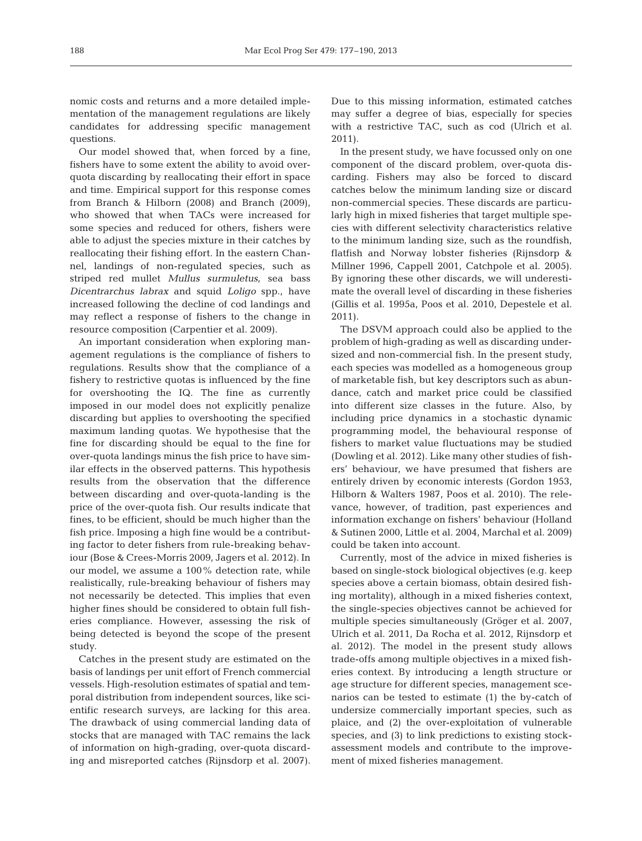nomic costs and returns and a more detailed implementation of the management regulations are likely candidates for addressing specific management questions.

Our model showed that, when forced by a fine, fishers have to some extent the ability to avoid overquota discarding by reallocating their effort in space and time. Empirical support for this response comes from Branch & Hilborn (2008) and Branch (2009), who showed that when TACs were increased for some species and reduced for others, fishers were able to adjust the species mixture in their catches by reallocating their fishing effort. In the eastern Channel, landings of non-regulated species, such as striped red mullet *Mullus surmuletus*, sea bass *Dicentrarchus labrax* and squid *Loligo* spp., have increased following the decline of cod landings and may reflect a response of fishers to the change in resource composition (Carpentier et al. 2009).

An important consideration when exploring management regulations is the compliance of fishers to regulations. Results show that the compliance of a fishery to restrictive quotas is influenced by the fine for overshooting the IQ. The fine as currently imposed in our model does not explicitly penalize discarding but applies to overshooting the specified maximum landing quotas. We hypothesise that the fine for discarding should be equal to the fine for over-quota landings minus the fish price to have similar effects in the observed patterns. This hypothesis results from the observation that the difference between discarding and over-quota-landing is the price of the over-quota fish. Our results indicate that fines, to be efficient, should be much higher than the fish price. Imposing a high fine would be a contributing factor to deter fishers from rule-breaking behaviour (Bose & Crees-Morris 2009, Jagers et al. 2012). In our model, we assume a 100% detection rate, while realistically, rule-breaking behaviour of fishers may not necessarily be detected. This implies that even higher fines should be considered to obtain full fisheries compliance. However, assessing the risk of being detected is beyond the scope of the present study.

Catches in the present study are estimated on the basis of landings per unit effort of French commercial vessels. High-resolution estimates of spatial and temporal distribution from independent sources, like scientific research surveys, are lacking for this area. The drawback of using commercial landing data of stocks that are managed with TAC remains the lack of information on high-grading, over-quota discarding and misreported catches (Rijnsdorp et al. 2007).

Due to this missing information, estimated catches may suffer a degree of bias, especially for species with a restrictive TAC, such as cod (Ulrich et al. 2011).

In the present study, we have focussed only on one component of the discard problem, over-quota discarding. Fishers may also be forced to discard catches below the minimum landing size or discard non-commercial species. These discards are particularly high in mixed fisheries that target multiple species with different selectivity characteristics relative to the minimum landing size, such as the roundfish, flatfish and Norway lobster fisheries (Rijnsdorp & Millner 1996, Cappell 2001, Catchpole et al. 2005). By ignoring these other discards, we will underestimate the overall level of discarding in these fisheries (Gillis et al. 1995a, Poos et al. 2010, Depestele et al. 2011).

The DSVM approach could also be applied to the problem of high-grading as well as discarding undersized and non-commercial fish. In the present study, each species was modelled as a homogeneous group of marketable fish, but key descriptors such as abundance, catch and market price could be classified into different size classes in the future. Also, by including price dynamics in a stochastic dynamic programming model, the behavioural response of fishers to market value fluctuations may be studied (Dowling et al. 2012). Like many other studies of fishers' behaviour, we have presumed that fishers are entirely driven by economic interests (Gordon 1953, Hilborn & Walters 1987, Poos et al. 2010). The relevance, however, of tradition, past experiences and information ex change on fishers' behaviour (Holland & Sutinen 2000, Little et al. 2004, Marchal et al. 2009) could be taken into account.

Currently, most of the advice in mixed fisheries is based on single-stock biological objectives (e.g. keep species above a certain biomass, obtain desired fishing mortality), although in a mixed fisheries context, the single-species objectives cannot be achieved for multiple species simultaneously (Gröger et al. 2007, Ulrich et al. 2011, Da Rocha et al. 2012, Rijnsdorp et al. 2012). The model in the present study allows trade-offs among multiple objectives in a mixed fisheries context. By introducing a length structure or age structure for different species, management scenarios can be tested to estimate (1) the by-catch of undersize commercially important species, such as plaice, and (2) the over-exploitation of vulnerable species, and (3) to link predictions to existing stockassessment models and contribute to the improvement of mixed fisheries management.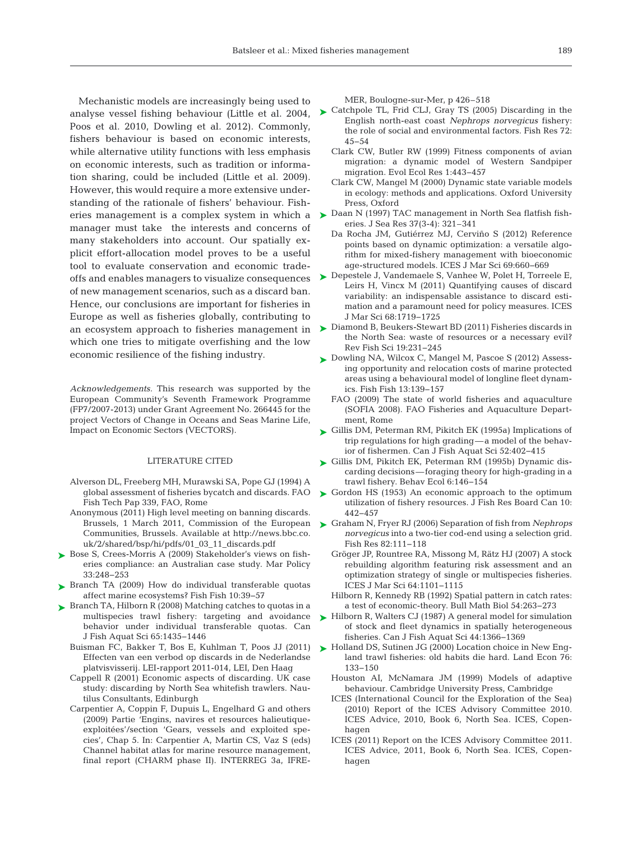Mechanistic models are increasingly being used to Poos et al. 2010, Dowling et al. 2012). Commonly, fishers behaviour is based on economic interests, while alternative utility functions with less emphasis on economic interests, such as tradition or information sharing, could be included (Little et al. 2009). However, this would require a more extensive understanding of the rationale of fishers' behaviour. Fishmanager must take the interests and concerns of many stakeholders into account. Our spatially explicit effort-allocation model proves to be a useful tool to evaluate conservation and economic tradeoffs and enables managers to visualize consequences ▶ Depestele J, Vandemaele S, Vanhee W, Polet H, Torreele E, of new management scenarios, such as a discard ban. Hence, our conclusions are important for fisheries in Europe as well as fisheries globally, contributing to an ecosystem approach to fisheries management in which one tries to mitigate overfishing and the low economic resilience of the fishing industry.

*Acknowledgements.* This research was supported by the European Community's Seventh Framework Programme (FP7/2007-2013) under Grant Agreement No. 266445 for the project Vectors of Change in Oceans and Seas Marine Life, Impact on Economic Sectors (VECTORS).

# LITERATURE CITED

- Alverson DL, Freeberg MH, Murawski SA, Pope GJ (1994) A global assessment of fisheries bycatch and discards. FAO Fish Tech Pap 339, FAO, Rome
- Anonymous (2011) High level meeting on banning discards. Brussels, 1 March 2011, Commission of the European Communities, Brussels. Available at http:// news. bbc. co. uk/2/shared/bsp/hi/pdfs/01\_03\_11\_discards.pdf
- ► Bose S, Crees-Morris A (2009) Stakeholder's views on fisheries compliance: an Australian case study. Mar Policy 33: 248−253
- ▶ Branch TA (2009) How do individual transferable quotas affect marine ecosystems? Fish Fish 10:39-57
- ▶ Branch TA, Hilborn R (2008) Matching catches to quotas in a multispecies trawl fishery: targeting and avoidance behavior under individual transferable quotas. Can J Fish Aquat Sci 65: 1435−1446
	- Buisman FC, Bakker T, Bos E, Kuhlman T, Poos JJ (2011) Effecten van een verbod op discards in de Nederlandse platvisvisserij. LEI-rapport 2011-014, LEI, Den Haag
	- Cappell R (2001) Economic aspects of discarding. UK case study: discarding by North Sea whitefish trawlers. Nautilus Consultants, Edinburgh
	- Carpentier A, Coppin F, Dupuis L, Engelhard G and others (2009) Partie 'Engins, navires et resources halieutique exploitées'/section 'Gears, vessels and exploited species', Chap 5. In:Carpentier A, Martin CS, Vaz S (eds) Channel habitat atlas for marine resource management, final report (CHARM phase II). INTERREG 3a, IFRE-

MER, Boulogne-sur-Mer, p 426–518

- analyse vessel fishing behaviour (Little et al. 2004,  $\triangleright$  Catchpole TL, Frid CLJ, Gray TS (2005) Discarding in the English north-east coast *Nephrops norvegicus* fishery: the role of social and environmental factors. Fish Res 72: 45−54
	- Clark CW, Butler RW (1999) Fitness components of avian migration:a dynamic model of Western Sandpiper migration. Evol Ecol Res 1: 443−457
	- Clark CW, Mangel M (2000) Dynamic state variable models in ecology: methods and applications. Oxford University Press, Oxford
- eries management is a complex system in which a  $\triangleright$  Daan N (1997) TAC management in North Sea flatfish fisheries. J Sea Res 37(3-4): 321–341
	- Da Rocha JM, Gutiérrez MJ, Cerviño S (2012) Reference points based on dynamic optimization: a versatile algorithm for mixed-fishery management with bioeconomic age-structured models. ICES J Mar Sci 69: 660−669
	- Leirs H, Vincx M (2011) Quantifying causes of discard variability: an indispensable assistance to discard estimation and a paramount need for policy measures. ICES J Mar Sci 68: 1719−1725
	- ► Diamond B, Beukers-Stewart BD (2011) Fisheries discards in the North Sea: waste of resources or a necessary evil? Rev Fish Sci 19:231-245
	- ► Dowling NA, Wilcox C, Mangel M, Pascoe S (2012) Assessing opportunity and relocation costs of marine protected areas using a behavioural model of longline fleet dynamics. Fish Fish 13: 139−157
		- FAO (2009) The state of world fisheries and aquaculture (SOFIA 2008). FAO Fisheries and Aquaculture Department, Rome
	- ► Gillis DM, Peterman RM, Pikitch EK (1995a) Implications of trip regulations for high grading—a model of the behavior of fishermen. Can J Fish Aquat Sci 52: 402−415
	- Gillis DM, Pikitch EK, Peterman RM (1995b) Dynamic dis-➤ carding decisions—foraging theory for high-grading in a trawl fishery. Behav Ecol 6: 146−154
	- ► Gordon HS (1953) An economic approach to the optimum utilization of fishery resources. J Fish Res Board Can 10: 442−457
	- Graham N, Fryer RJ (2006) Separation of fish from *Nephrops* ➤ *norvegicus* into a two-tier cod-end using a selection grid. Fish Res 82: 111−118
		- Gröger JP, Rountree RA, Missong M, Rätz HJ (2007) A stock rebuilding algorithm featuring risk assessment and an optimization strategy of single or multispecies fisheries. ICES J Mar Sci 64: 1101−1115
		- Hilborn R, Kennedy RB (1992) Spatial pattern in catch rates: a test of economic-theory. Bull Math Biol 54: 263−273
	- ► Hilborn R, Walters CJ (1987) A general model for simulation of stock and fleet dynamics in spatially heterogeneous fisheries. Can J Fish Aquat Sci 44: 1366−1369
	- ► Holland DS, Sutinen JG (2000) Location choice in New England trawl fisheries: old habits die hard. Land Econ 76: 133−150
		- Houston AI, McNamara JM (1999) Models of adaptive behaviour. Cambridge University Press, Cambridge
		- ICES (International Council for the Exploration of the Sea) (2010) Report of the ICES Advisory Committee 2010. ICES Advice, 2010, Book 6, North Sea. ICES, Copenhagen
		- ICES (2011) Report on the ICES Advisory Committee 2011. ICES Advice, 2011, Book 6, North Sea. ICES, Copenhagen